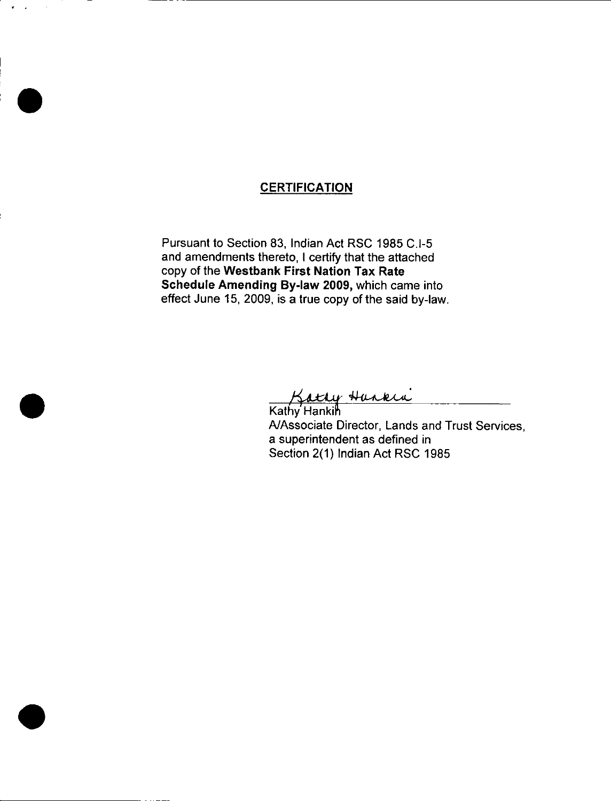## **CERTIFICATION**

 $\alpha$ 

Pursuant to Section 83, Indian Act RSC 1985 C.I-5 and amendments thereto, I certify that the attached copy of the Westbank First Nation Tax Rate Schedule Amending By-law 2009, which came into effect June 15, 2009, is a true copy of the said by -Iaw.

Hurkia

**Sattly**<br>Kathy Hankin A/Associate Director, Lands and Trust Services, a superintendent as defined in Section 2(1) Indian Act RSC 1985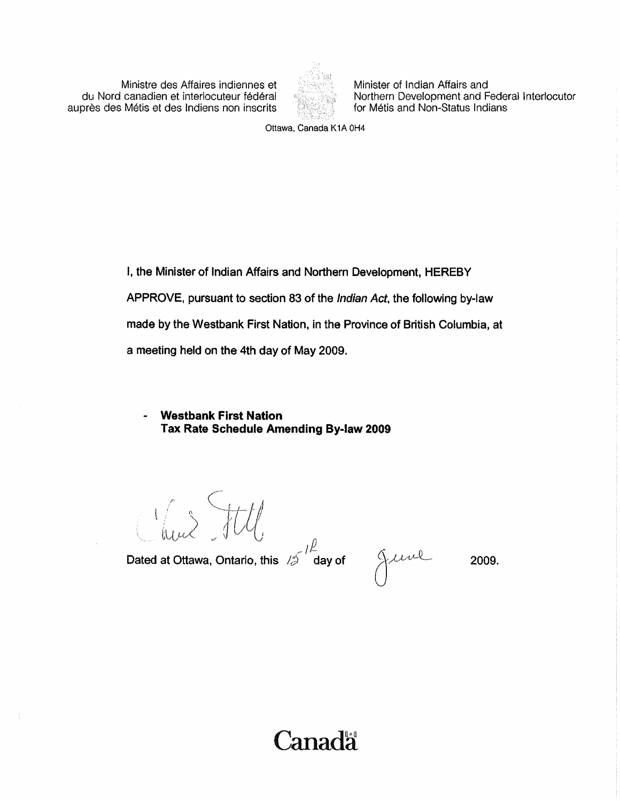du Nord canadien et interlocuteur fédéral du Northern Development and Federal du Nord canadien et interlocuteur<br>Interloce des Métis et des Indiens non inscrits de la formation for Métis and Non-Status Indians auprès des Métis et des Indiens non inscrits



Ministre des Affaires indiennes et ::^ Y.; : Minister of Indian Affairs and

Ottawa, Canada K1A 0H4

1, the Minister of Indian Affairs and Northern Development, HEREBY APPROVE, pursuant to section 83 of the Indian Act, the following by-law made by the westbank First Nation, in the Province of British Columbia, at a meeting held on the 4th day of May 2009.

**Westbank First Nation** Tax Rate Schedule Amending By-law 2009

Clair Jttle

Dated at Ottawa, Ontario, this  $12 \int_{0}^{p}$  day of  $\int$ 

2009.

Canadä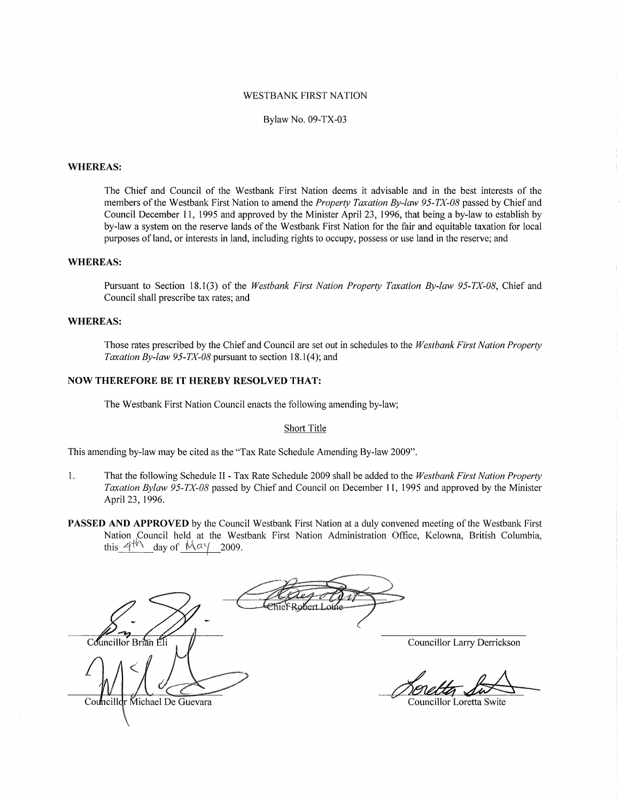#### WESTBANK FIRST NATION

#### Bylaw No. 09-TX-03

#### WHEREAS:

The Chief and Council of the Westbank First Nation deems it advisable and in the best interests of the members of the Westbank First Nation to amend the *Property Taxation By-law 95-TX-08* passed by Chief and Council December 11, 1995 and approved by the Minister April 23, 1996, that being <sup>a</sup> by -law to establish by by-law <sup>a</sup> system on the reserve lands of the Westbank First Nation for the fair and equitable taxation for local purposes of land, or interests in land, including rights to occupy, possess or use land in the reserve; and

#### WHEREAS:

Pursuant to Section 18.1(3) of the Westbank First Nation Property Taxation By-law 95-TX-08, Chief and Council shall prescribe tax rates; and

#### WHEREAS:

Those rates prescribed by the Chief and Council are set out in schedules to the *Westbank First Nation Property* AS:<br>Those rates prescribed by the Chief and Council are set out in sche<br>Taxation By-law 95-TX-08 pursuant to section 18.1(4); and

#### NOW THEREFORE BE IT HEREBY RESOLVED THAT:

The Westbank First Nation Council enacts the following amending by -law;

#### Short Title

This amending by-law may be cited as the "Tax Rate Schedule Amending By-law 2009".

- 1. That the following Schedule II Tax Rate Schedule 2009 shall be added to the Westbank First Nation Property<br>Taxation Bylaw 95-TX-08 passed by Chief and Council on December 11, 1995 and approved by the Minister April 23, 1996.
- PASSED AND APPROVED by the Council Westbank First Nation at a duly convened meeting of the Westbank First Nation Council held at the Westbank First Nation Administration Office, Kelowna, British Columbia, this  $4\frac{1}{\sqrt{2}}$  day of  $\frac{\sqrt{4}}{\sqrt{2}}$  2009.

Councillor Brian Eli Councillor Larry Derrickson Councillor Michael De Guevara Councillor Loretta Swite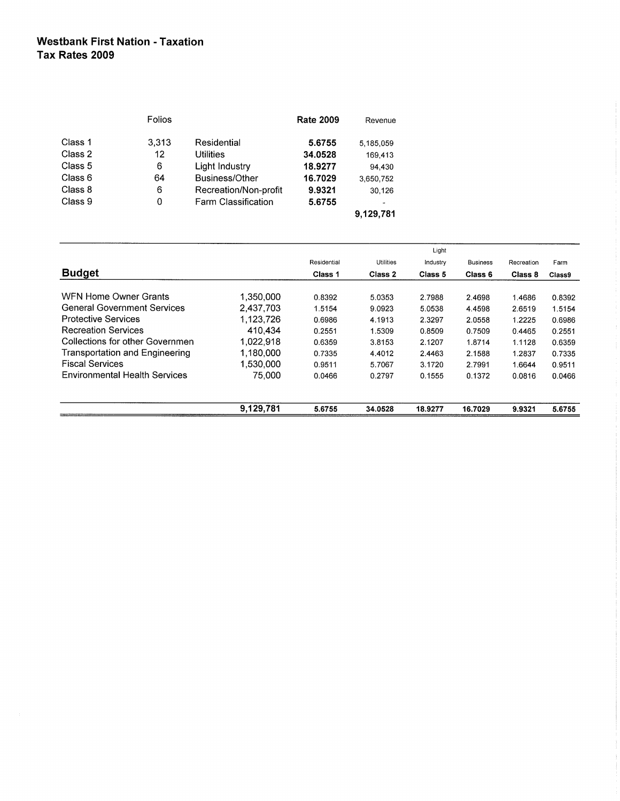### Westbank First Nation - Taxation Tax Rates 2009

|         | Folios |                       | <b>Rate 2009</b> | Revenue   |
|---------|--------|-----------------------|------------------|-----------|
| Class 1 | 3,313  | Residential           | 5.6755           | 5,185,059 |
| Class 2 | 12     | Utilities             | 34.0528          | 169,413   |
| Class 5 | 6      | Light Industry        | 18.9277          | 94.430    |
| Class 6 | 64     | Business/Other        | 16.7029          | 3,650,752 |
| Class 8 | 6      | Recreation/Non-profit | 9.9321           | 30,126    |
| Class 9 | 0      | Farm Classification   | 5.6755           |           |
|         |        |                       |                  | 9,129,781 |

|                                       |           | Light       |                  |          |                 |            |        |
|---------------------------------------|-----------|-------------|------------------|----------|-----------------|------------|--------|
|                                       |           | Residential | <b>Utilities</b> | Industry | <b>Business</b> | Recreation | Farm   |
| <b>Budget</b>                         |           | Class 1     | Class 2          | Class 5  | Class 6         | Class 8    | Class9 |
| WFN Home Owner Grants                 | 1,350,000 | 0.8392      | 5.0353           | 2.7988   | 2.4698          | 1.4686     | 0.8392 |
| <b>General Government Services</b>    | 2.437.703 | 1.5154      | 9.0923           | 5.0538   | 4.4598          | 2.6519     | 1.5154 |
| <b>Protective Services</b>            | 1,123,726 | 0.6986      | 4.1913           | 2.3297   | 2.0558          | 1.2225     | 0.6986 |
| <b>Recreation Services</b>            | 410.434   | 0.2551      | 1.5309           | 0.8509   | 0.7509          | 0.4465     | 0.2551 |
| Collections for other Governmen       | 1.022.918 | 0.6359      | 3.8153           | 2.1207   | 1.8714          | 1.1128     | 0.6359 |
| <b>Transportation and Engineering</b> | 1.180.000 | 0.7335      | 4.4012           | 2.4463   | 2.1588          | 1.2837     | 0.7335 |
| <b>Fiscal Services</b>                | 1,530,000 | 0.9511      | 5.7067           | 3.1720   | 2.7991          | 1.6644     | 0.9511 |
| <b>Environmental Health Services</b>  | 75.000    | 0.0466      | 0.2797           | 0.1555   | 0.1372          | 0.0816     | 0.0466 |
|                                       | 9,129,781 | 5.6755      | 34.0528          | 18.9277  | 16.7029         | 9.9321     | 5.6755 |